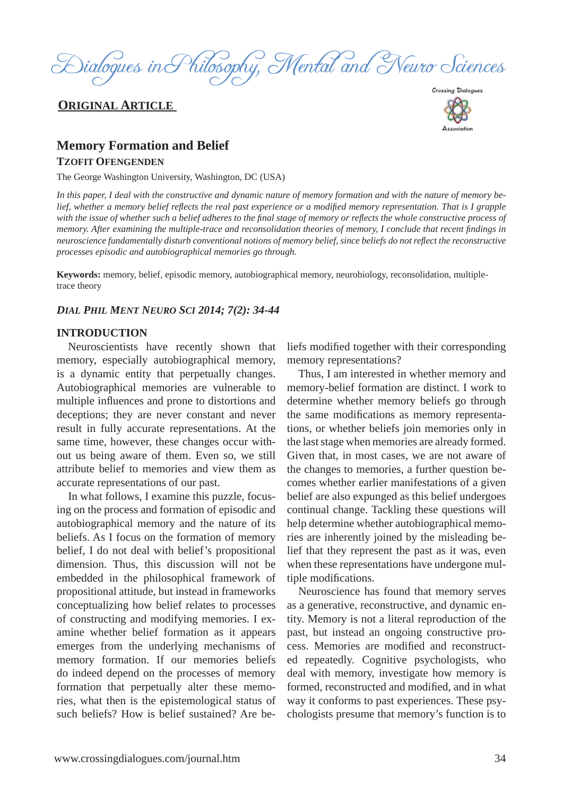

### **ORIGINAL ARTICLE**



# **Memory Formation and Belief TZOFIT OFENGENDEN**

The George Washington University, Washington, DC (USA)

*In this paper, I deal with the constructive and dynamic nature of memory formation and with the nature of memory belief, whether a memory belief refl ects the real past experience or a modifi ed memory representation. That is I grapple with the issue of whether such a belief adheres to the final stage of memory or reflects the whole constructive process of memory. After examining the multiple-trace and reconsolidation theories of memory, I conclude that recent findings in neuroscience fundamentally disturb conventional notions of memory belief, since beliefs do not refl ect the reconstructive processes episodic and autobiographical memories go through.* 

**Keywords:** memory, belief, episodic memory, autobiographical memory, neurobiology, reconsolidation, multipletrace theory

#### *DIAL PHIL MENT NEURO SCI 2014; 7(2): 34-44*

#### **INTRODUCTION**

Neuroscientists have recently shown that memory, especially autobiographical memory, is a dynamic entity that perpetually changes. Autobiographical memories are vulnerable to multiple influences and prone to distortions and deceptions; they are never constant and never result in fully accurate representations. At the same time, however, these changes occur without us being aware of them. Even so, we still attribute belief to memories and view them as accurate representations of our past.

In what follows, I examine this puzzle, focusing on the process and formation of episodic and autobiographical memory and the nature of its beliefs. As I focus on the formation of memory belief, I do not deal with belief's propositional dimension. Thus, this discussion will not be embedded in the philosophical framework of propositional attitude, but instead in frameworks conceptualizing how belief relates to processes of constructing and modifying memories. I examine whether belief formation as it appears emerges from the underlying mechanisms of memory formation. If our memories beliefs do indeed depend on the processes of memory formation that perpetually alter these memories, what then is the epistemological status of such beliefs? How is belief sustained? Are be-

liefs modified together with their corresponding memory representations?

Thus, I am interested in whether memory and memory-belief formation are distinct. I work to determine whether memory beliefs go through the same modifications as memory representations, or whether beliefs join memories only in the last stage when memories are already formed. Given that, in most cases, we are not aware of the changes to memories, a further question becomes whether earlier manifestations of a given belief are also expunged as this belief undergoes continual change. Tackling these questions will help determine whether autobiographical memories are inherently joined by the misleading belief that they represent the past as it was, even when these representations have undergone multiple modifications.

Neuroscience has found that memory serves as a generative, reconstructive, and dynamic entity. Memory is not a literal reproduction of the past, but instead an ongoing constructive process. Memories are modified and reconstructed repeatedly. Cognitive psychologists, who deal with memory, investigate how memory is formed, reconstructed and modified, and in what way it conforms to past experiences. These psychologists presume that memory's function is to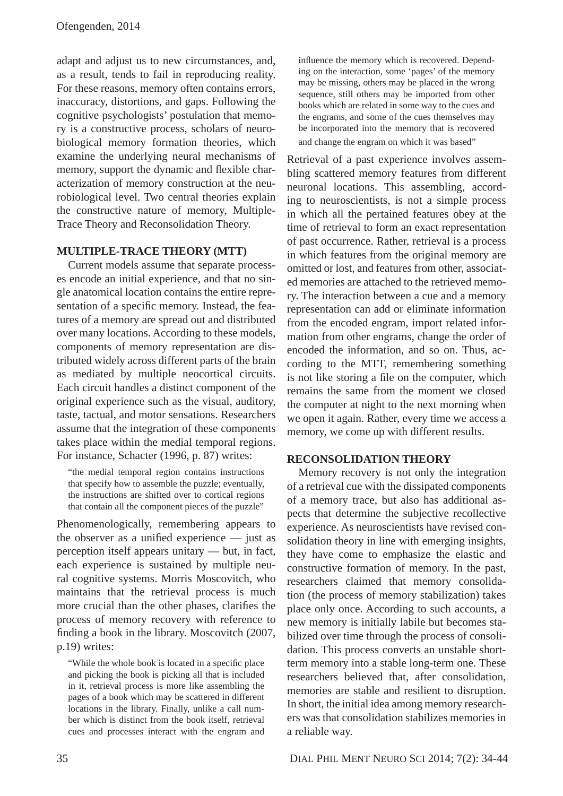adapt and adjust us to new circumstances, and, as a result, tends to fail in reproducing reality. For these reasons, memory often contains errors, inaccuracy, distortions, and gaps. Following the cognitive psychologists' postulation that memory is a constructive process, scholars of neurobiological memory formation theories, which examine the underlying neural mechanisms of memory, support the dynamic and flexible characterization of memory construction at the neurobiological level. Two central theories explain the constructive nature of memory, Multiple-Trace Theory and Reconsolidation Theory.

### **MULTIPLE-TRACE THEORY (MTT)**

Current models assume that separate processes encode an initial experience, and that no single anatomical location contains the entire representation of a specific memory. Instead, the features of a memory are spread out and distributed over many locations. According to these models, components of memory representation are distributed widely across different parts of the brain as mediated by multiple neocortical circuits. Each circuit handles a distinct component of the original experience such as the visual, auditory, taste, tactual, and motor sensations. Researchers assume that the integration of these components takes place within the medial temporal regions. For instance, Schacter (1996, p. 87) writes:

"the medial temporal region contains instructions that specify how to assemble the puzzle; eventually, the instructions are shifted over to cortical regions that contain all the component pieces of the puzzle"

Phenomenologically, remembering appears to the observer as a unified experience  $-$  just as perception itself appears unitary — but, in fact, each experience is sustained by multiple neural cognitive systems. Morris Moscovitch, who maintains that the retrieval process is much more crucial than the other phases, clarifies the process of memory recovery with reference to finding a book in the library. Moscovitch (2007, p.19) writes:

"While the whole book is located in a specific place" and picking the book is picking all that is included in it, retrieval process is more like assembling the pages of a book which may be scattered in different locations in the library. Finally, unlike a call number which is distinct from the book itself, retrieval cues and processes interact with the engram and

influence the memory which is recovered. Depending on the interaction, some 'pages' of the memory may be missing, others may be placed in the wrong sequence, still others may be imported from other books which are related in some way to the cues and the engrams, and some of the cues themselves may be incorporated into the memory that is recovered and change the engram on which it was based"

Retrieval of a past experience involves assembling scattered memory features from different neuronal locations. This assembling, according to neuroscientists, is not a simple process in which all the pertained features obey at the time of retrieval to form an exact representation of past occurrence. Rather, retrieval is a process in which features from the original memory are omitted or lost, and features from other, associated memories are attached to the retrieved memory. The interaction between a cue and a memory representation can add or eliminate information from the encoded engram, import related information from other engrams, change the order of encoded the information, and so on. Thus, according to the MTT, remembering something is not like storing a file on the computer, which remains the same from the moment we closed the computer at night to the next morning when we open it again. Rather, every time we access a memory, we come up with different results.

## **RECONSOLIDATION THEORY**

Memory recovery is not only the integration of a retrieval cue with the dissipated components of a memory trace, but also has additional aspects that determine the subjective recollective experience. As neuroscientists have revised consolidation theory in line with emerging insights, they have come to emphasize the elastic and constructive formation of memory. In the past, researchers claimed that memory consolidation (the process of memory stabilization) takes place only once. According to such accounts, a new memory is initially labile but becomes stabilized over time through the process of consolidation. This process converts an unstable shortterm memory into a stable long-term one. These researchers believed that, after consolidation, memories are stable and resilient to disruption. In short, the initial idea among memory researchers was that consolidation stabilizes memories in a reliable way.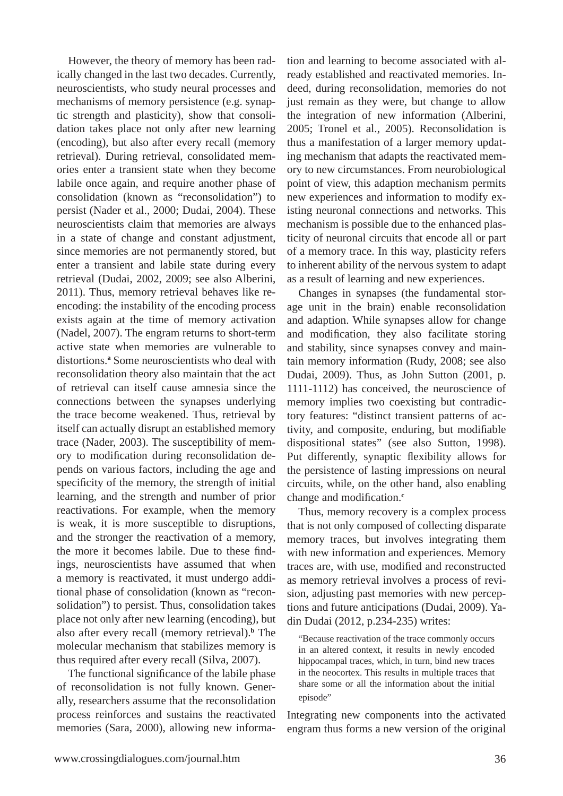However, the theory of memory has been radically changed in the last two decades. Currently, neuroscientists, who study neural processes and mechanisms of memory persistence (e.g. synaptic strength and plasticity), show that consolidation takes place not only after new learning (encoding), but also after every recall (memory retrieval). During retrieval, consolidated memories enter a transient state when they become labile once again, and require another phase of consolidation (known as "reconsolidation") to persist (Nader et al., 2000; Dudai, 2004). These neuroscientists claim that memories are always in a state of change and constant adjustment, since memories are not permanently stored, but enter a transient and labile state during every retrieval (Dudai, 2002, 2009; see also Alberini, 2011). Thus, memory retrieval behaves like reencoding: the instability of the encoding process exists again at the time of memory activation (Nadel, 2007). The engram returns to short-term active state when memories are vulnerable to distortions.**<sup>a</sup>** Some neuroscientists who deal with reconsolidation theory also maintain that the act of retrieval can itself cause amnesia since the connections between the synapses underlying the trace become weakened. Thus, retrieval by itself can actually disrupt an established memory trace (Nader, 2003). The susceptibility of memory to modification during reconsolidation depends on various factors, including the age and specificity of the memory, the strength of initial learning, and the strength and number of prior reactivations. For example, when the memory is weak, it is more susceptible to disruptions, and the stronger the reactivation of a memory, the more it becomes labile. Due to these findings, neuroscientists have assumed that when a memory is reactivated, it must undergo additional phase of consolidation (known as "reconsolidation") to persist. Thus, consolidation takes place not only after new learning (encoding), but also after every recall (memory retrieval).**<sup>b</sup>** The molecular mechanism that stabilizes memory is thus required after every recall (Silva, 2007).

The functional significance of the labile phase of reconsolidation is not fully known. Generally, researchers assume that the reconsolidation process reinforces and sustains the reactivated memories (Sara, 2000), allowing new information and learning to become associated with already established and reactivated memories. Indeed, during reconsolidation, memories do not just remain as they were, but change to allow the integration of new information (Alberini, 2005; Tronel et al., 2005). Reconsolidation is thus a manifestation of a larger memory updating mechanism that adapts the reactivated memory to new circumstances. From neurobiological point of view, this adaption mechanism permits new experiences and information to modify existing neuronal connections and networks. This mechanism is possible due to the enhanced plasticity of neuronal circuits that encode all or part of a memory trace. In this way, plasticity refers to inherent ability of the nervous system to adapt as a result of learning and new experiences.

Changes in synapses (the fundamental storage unit in the brain) enable reconsolidation and adaption. While synapses allow for change and modification, they also facilitate storing and stability, since synapses convey and maintain memory information (Rudy, 2008; see also Dudai, 2009). Thus, as John Sutton (2001, p. 1111-1112) has conceived, the neuroscience of memory implies two coexisting but contradictory features: "distinct transient patterns of activity, and composite, enduring, but modifiable dispositional states" (see also Sutton, 1998). Put differently, synaptic flexibility allows for the persistence of lasting impressions on neural circuits, while, on the other hand, also enabling change and modification.<sup>c</sup>

Thus, memory recovery is a complex process that is not only composed of collecting disparate memory traces, but involves integrating them with new information and experiences. Memory traces are, with use, modified and reconstructed as memory retrieval involves a process of revision, adjusting past memories with new perceptions and future anticipations (Dudai, 2009). Yadin Dudai (2012, p.234-235) writes:

"Because reactivation of the trace commonly occurs in an altered context, it results in newly encoded hippocampal traces, which, in turn, bind new traces in the neocortex. This results in multiple traces that share some or all the information about the initial episode"

Integrating new components into the activated engram thus forms a new version of the original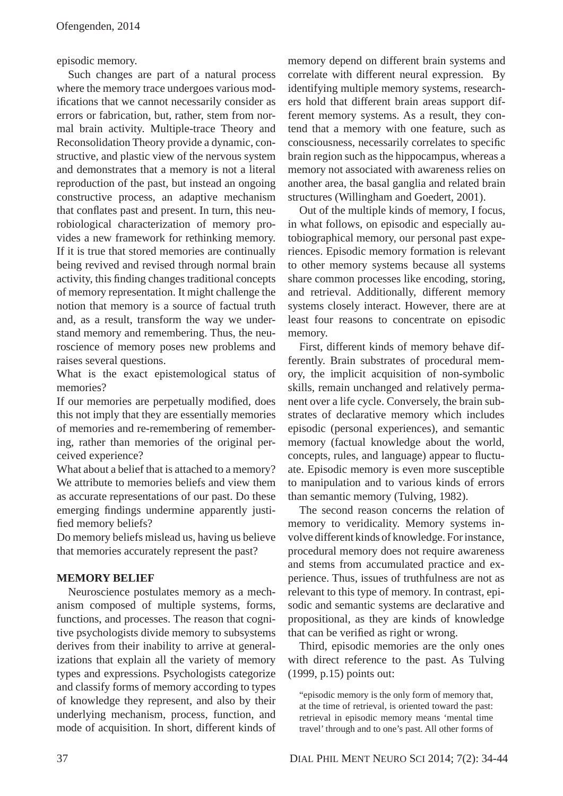episodic memory.

Such changes are part of a natural process where the memory trace undergoes various modifications that we cannot necessarily consider as errors or fabrication, but, rather, stem from normal brain activity. Multiple-trace Theory and Reconsolidation Theory provide a dynamic, constructive, and plastic view of the nervous system and demonstrates that a memory is not a literal reproduction of the past, but instead an ongoing constructive process, an adaptive mechanism that conflates past and present. In turn, this neurobiological characterization of memory provides a new framework for rethinking memory. If it is true that stored memories are continually being revived and revised through normal brain activity, this finding changes traditional concepts of memory representation. It might challenge the notion that memory is a source of factual truth and, as a result, transform the way we understand memory and remembering. Thus, the neuroscience of memory poses new problems and raises several questions.

What is the exact epistemological status of memories?

If our memories are perpetually modified, does this not imply that they are essentially memories of memories and re-remembering of remembering, rather than memories of the original perceived experience?

What about a belief that is attached to a memory? We attribute to memories beliefs and view them as accurate representations of our past. Do these emerging findings undermine apparently justified memory beliefs?

Do memory beliefs mislead us, having us believe that memories accurately represent the past?

## **MEMORY BELIEF**

Neuroscience postulates memory as a mechanism composed of multiple systems, forms, functions, and processes. The reason that cognitive psychologists divide memory to subsystems derives from their inability to arrive at generalizations that explain all the variety of memory types and expressions. Psychologists categorize and classify forms of memory according to types of knowledge they represent, and also by their underlying mechanism, process, function, and mode of acquisition. In short, different kinds of memory depend on different brain systems and correlate with different neural expression. By identifying multiple memory systems, researchers hold that different brain areas support different memory systems. As a result, they contend that a memory with one feature, such as consciousness, necessarily correlates to specific brain region such as the hippocampus, whereas a memory not associated with awareness relies on another area, the basal ganglia and related brain structures (Willingham and Goedert, 2001).

Out of the multiple kinds of memory, I focus, in what follows, on episodic and especially autobiographical memory, our personal past experiences. Episodic memory formation is relevant to other memory systems because all systems share common processes like encoding, storing, and retrieval. Additionally, different memory systems closely interact. However, there are at least four reasons to concentrate on episodic memory.

First, different kinds of memory behave differently. Brain substrates of procedural memory, the implicit acquisition of non-symbolic skills, remain unchanged and relatively permanent over a life cycle. Conversely, the brain substrates of declarative memory which includes episodic (personal experiences), and semantic memory (factual knowledge about the world, concepts, rules, and language) appear to fluctuate. Episodic memory is even more susceptible to manipulation and to various kinds of errors than semantic memory (Tulving, 1982).

The second reason concerns the relation of memory to veridicality. Memory systems involve different kinds of knowledge. For instance, procedural memory does not require awareness and stems from accumulated practice and experience. Thus, issues of truthfulness are not as relevant to this type of memory. In contrast, episodic and semantic systems are declarative and propositional, as they are kinds of knowledge that can be verified as right or wrong.

Third, episodic memories are the only ones with direct reference to the past. As Tulving (1999, p.15) points out:

"episodic memory is the only form of memory that, at the time of retrieval, is oriented toward the past: retrieval in episodic memory means 'mental time travel' through and to one's past. All other forms of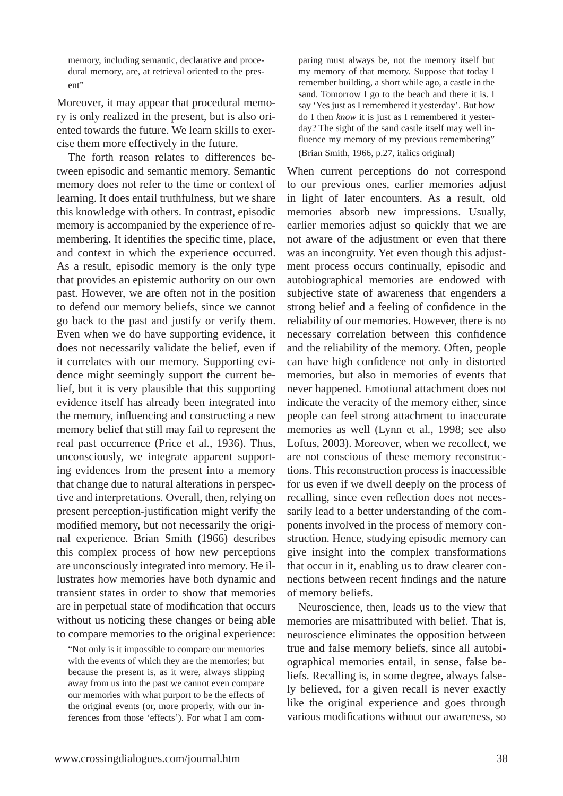memory, including semantic, declarative and procedural memory, are, at retrieval oriented to the present"

Moreover, it may appear that procedural memory is only realized in the present, but is also oriented towards the future. We learn skills to exercise them more effectively in the future.

The forth reason relates to differences between episodic and semantic memory. Semantic memory does not refer to the time or context of learning. It does entail truthfulness, but we share this knowledge with others. In contrast, episodic memory is accompanied by the experience of remembering. It identifies the specific time, place, and context in which the experience occurred. As a result, episodic memory is the only type that provides an epistemic authority on our own past. However, we are often not in the position to defend our memory beliefs, since we cannot go back to the past and justify or verify them. Even when we do have supporting evidence, it does not necessarily validate the belief, even if it correlates with our memory. Supporting evidence might seemingly support the current belief, but it is very plausible that this supporting evidence itself has already been integrated into the memory, influencing and constructing a new memory belief that still may fail to represent the real past occurrence (Price et al., 1936). Thus, unconsciously, we integrate apparent supporting evidences from the present into a memory that change due to natural alterations in perspective and interpretations. Overall, then, relying on present perception-justification might verify the modified memory, but not necessarily the original experience. Brian Smith (1966) describes this complex process of how new perceptions are unconsciously integrated into memory. He illustrates how memories have both dynamic and transient states in order to show that memories are in perpetual state of modification that occurs without us noticing these changes or being able to compare memories to the original experience:

"Not only is it impossible to compare our memories with the events of which they are the memories; but because the present is, as it were, always slipping away from us into the past we cannot even compare our memories with what purport to be the effects of the original events (or, more properly, with our inferences from those 'effects'). For what I am comparing must always be, not the memory itself but my memory of that memory. Suppose that today I remember building, a short while ago, a castle in the sand. Tomorrow I go to the beach and there it is. I say 'Yes just as I remembered it yesterday'. But how do I then *know* it is just as I remembered it yesterday? The sight of the sand castle itself may well influence my memory of my previous remembering" (Brian Smith, 1966, p.27, italics original)

When current perceptions do not correspond to our previous ones, earlier memories adjust in light of later encounters. As a result, old memories absorb new impressions. Usually, earlier memories adjust so quickly that we are not aware of the adjustment or even that there was an incongruity. Yet even though this adjustment process occurs continually, episodic and autobiographical memories are endowed with subjective state of awareness that engenders a strong belief and a feeling of confidence in the reliability of our memories. However, there is no necessary correlation between this confidence and the reliability of the memory. Often, people can have high confidence not only in distorted memories, but also in memories of events that never happened. Emotional attachment does not indicate the veracity of the memory either, since people can feel strong attachment to inaccurate memories as well (Lynn et al., 1998; see also Loftus, 2003). Moreover, when we recollect, we are not conscious of these memory reconstructions. This reconstruction process is inaccessible for us even if we dwell deeply on the process of recalling, since even reflection does not necessarily lead to a better understanding of the components involved in the process of memory construction. Hence, studying episodic memory can give insight into the complex transformations that occur in it, enabling us to draw clearer connections between recent findings and the nature of memory beliefs.

Neuroscience, then, leads us to the view that memories are misattributed with belief. That is, neuroscience eliminates the opposition between true and false memory beliefs, since all autobiographical memories entail, in sense, false beliefs. Recalling is, in some degree, always falsely believed, for a given recall is never exactly like the original experience and goes through various modifications without our awareness, so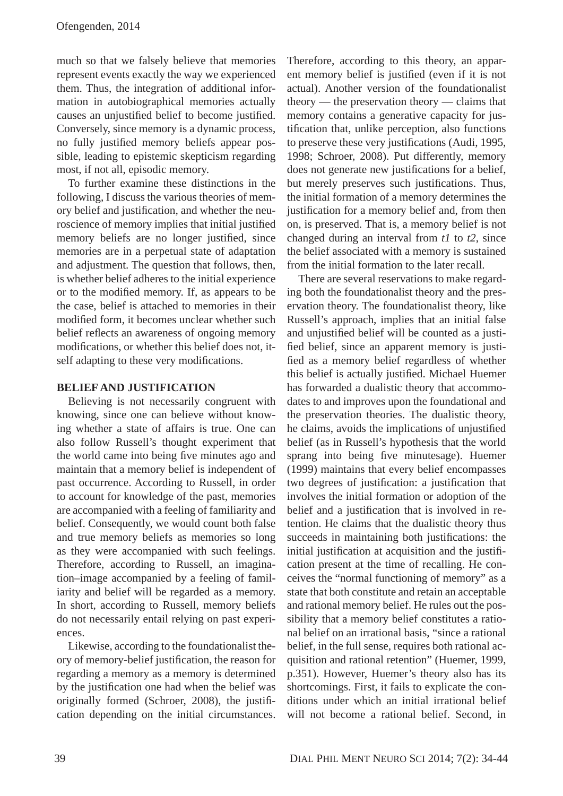much so that we falsely believe that memories represent events exactly the way we experienced them. Thus, the integration of additional information in autobiographical memories actually causes an unjustified belief to become justified. Conversely, since memory is a dynamic process, no fully justified memory beliefs appear possible, leading to epistemic skepticism regarding most, if not all, episodic memory.

To further examine these distinctions in the following, I discuss the various theories of memory belief and justification, and whether the neuroscience of memory implies that initial justified memory beliefs are no longer justified, since memories are in a perpetual state of adaptation and adjustment. The question that follows, then, is whether belief adheres to the initial experience or to the modified memory. If, as appears to be the case, belief is attached to memories in their modified form, it becomes unclear whether such belief reflects an awareness of ongoing memory modifications, or whether this belief does not, itself adapting to these very modifications.

### **BELIEF AND JUSTIFICATION**

Believing is not necessarily congruent with knowing, since one can believe without knowing whether a state of affairs is true. One can also follow Russell's thought experiment that the world came into being five minutes ago and maintain that a memory belief is independent of past occurrence. According to Russell, in order to account for knowledge of the past, memories are accompanied with a feeling of familiarity and belief. Consequently, we would count both false and true memory beliefs as memories so long as they were accompanied with such feelings. Therefore, according to Russell, an imagination–image accompanied by a feeling of familiarity and belief will be regarded as a memory. In short, according to Russell, memory beliefs do not necessarily entail relying on past experiences.

Likewise, according to the foundationalist theory of memory-belief justification, the reason for regarding a memory as a memory is determined by the justification one had when the belief was originally formed (Schroer, 2008), the justification depending on the initial circumstances.

Therefore, according to this theory, an apparent memory belief is justified (even if it is not actual). Another version of the foundationalist theory — the preservation theory — claims that memory contains a generative capacity for justification that, unlike perception, also functions to preserve these very justifications (Audi, 1995, 1998; Schroer, 2008). Put differently, memory does not generate new justifications for a belief, but merely preserves such justifications. Thus, the initial formation of a memory determines the justification for a memory belief and, from then on, is preserved. That is, a memory belief is not changed during an interval from *t1* to *t2*, since the belief associated with a memory is sustained from the initial formation to the later recall.

There are several reservations to make regarding both the foundationalist theory and the preservation theory. The foundationalist theory, like Russell's approach, implies that an initial false and unjustified belief will be counted as a justified belief, since an apparent memory is justified as a memory belief regardless of whether this belief is actually justified. Michael Huemer has forwarded a dualistic theory that accommodates to and improves upon the foundational and the preservation theories. The dualistic theory, he claims, avoids the implications of unjustified belief (as in Russell's hypothesis that the world sprang into being five minutesage). Huemer (1999) maintains that every belief encompasses two degrees of justification: a justification that involves the initial formation or adoption of the belief and a justification that is involved in retention. He claims that the dualistic theory thus succeeds in maintaining both justifications: the initial justification at acquisition and the justification present at the time of recalling. He conceives the "normal functioning of memory" as a state that both constitute and retain an acceptable and rational memory belief. He rules out the possibility that a memory belief constitutes a rational belief on an irrational basis, "since a rational belief, in the full sense, requires both rational acquisition and rational retention" (Huemer, 1999, p.351). However, Huemer's theory also has its shortcomings. First, it fails to explicate the conditions under which an initial irrational belief will not become a rational belief. Second, in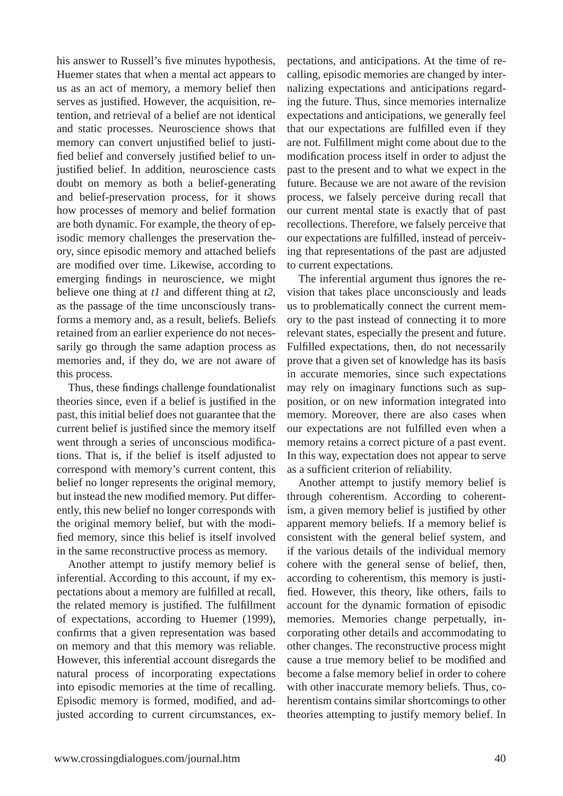his answer to Russell's five minutes hypothesis, Huemer states that when a mental act appears to us as an act of memory, a memory belief then serves as justified. However, the acquisition, retention, and retrieval of a belief are not identical and static processes. Neuroscience shows that memory can convert unjustified belief to justified belief and conversely justified belief to unjustified belief. In addition, neuroscience casts doubt on memory as both a belief-generating and belief-preservation process, for it shows how processes of memory and belief formation are both dynamic. For example, the theory of episodic memory challenges the preservation theory, since episodic memory and attached beliefs are modified over time. Likewise, according to emerging findings in neuroscience, we might believe one thing at *t1* and different thing at *t2*, as the passage of the time unconsciously transforms a memory and, as a result, beliefs. Beliefs retained from an earlier experience do not necessarily go through the same adaption process as memories and, if they do, we are not aware of this process.

Thus, these findings challenge foundationalist theories since, even if a belief is justified in the past, this initial belief does not guarantee that the current belief is justified since the memory itself went through a series of unconscious modifications. That is, if the belief is itself adjusted to correspond with memory's current content, this belief no longer represents the original memory, but instead the new modified memory. Put differently, this new belief no longer corresponds with the original memory belief, but with the modified memory, since this belief is itself involved in the same reconstructive process as memory.

Another attempt to justify memory belief is inferential. According to this account, if my expectations about a memory are fulfilled at recall, the related memory is justified. The fulfillment of expectations, according to Huemer (1999), confirms that a given representation was based on memory and that this memory was reliable. However, this inferential account disregards the natural process of incorporating expectations into episodic memories at the time of recalling. Episodic memory is formed, modified, and adjusted according to current circumstances, expectations, and anticipations. At the time of recalling, episodic memories are changed by internalizing expectations and anticipations regarding the future. Thus, since memories internalize expectations and anticipations, we generally feel that our expectations are fulfilled even if they are not. Fulfillment might come about due to the modification process itself in order to adjust the past to the present and to what we expect in the future. Because we are not aware of the revision process, we falsely perceive during recall that our current mental state is exactly that of past recollections. Therefore, we falsely perceive that our expectations are fulfilled, instead of perceiving that representations of the past are adjusted to current expectations.

The inferential argument thus ignores the revision that takes place unconsciously and leads us to problematically connect the current memory to the past instead of connecting it to more relevant states, especially the present and future. Fulfilled expectations, then, do not necessarily prove that a given set of knowledge has its basis in accurate memories, since such expectations may rely on imaginary functions such as supposition, or on new information integrated into memory. Moreover, there are also cases when our expectations are not fulfilled even when a memory retains a correct picture of a past event. In this way, expectation does not appear to serve as a sufficient criterion of reliability.

Another attempt to justify memory belief is through coherentism. According to coherentism, a given memory belief is justified by other apparent memory beliefs. If a memory belief is consistent with the general belief system, and if the various details of the individual memory cohere with the general sense of belief, then, according to coherentism, this memory is justified. However, this theory, like others, fails to account for the dynamic formation of episodic memories. Memories change perpetually, incorporating other details and accommodating to other changes. The reconstructive process might cause a true memory belief to be modified and become a false memory belief in order to cohere with other inaccurate memory beliefs. Thus, coherentism contains similar shortcomings to other theories attempting to justify memory belief. In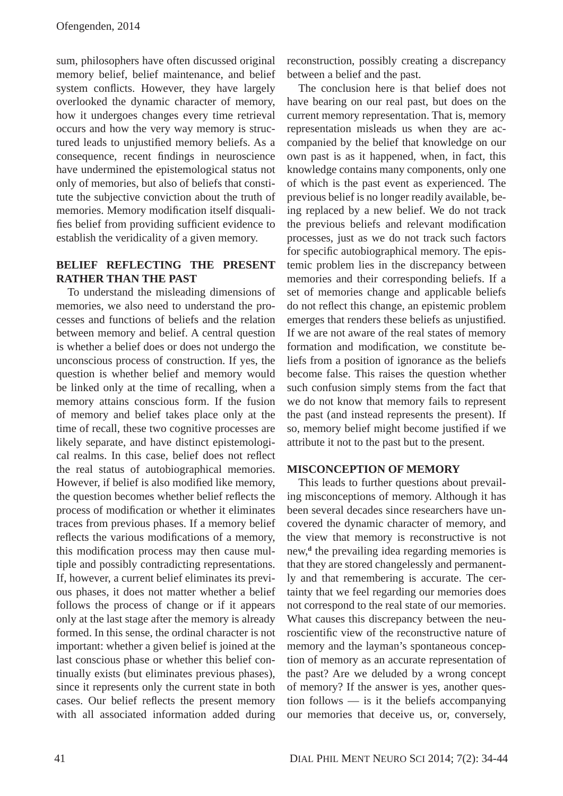sum, philosophers have often discussed original memory belief, belief maintenance, and belief system conflicts. However, they have largely overlooked the dynamic character of memory, how it undergoes changes every time retrieval occurs and how the very way memory is structured leads to unjustified memory beliefs. As a consequence, recent findings in neuroscience have undermined the epistemological status not only of memories, but also of beliefs that constitute the subjective conviction about the truth of memories. Memory modification itself disqualifies belief from providing sufficient evidence to establish the veridicality of a given memory.

### **BELIEF REFLECTING THE PRESENT RATHER THAN THE PAST**

To understand the misleading dimensions of memories, we also need to understand the processes and functions of beliefs and the relation between memory and belief. A central question is whether a belief does or does not undergo the unconscious process of construction. If yes, the question is whether belief and memory would be linked only at the time of recalling, when a memory attains conscious form. If the fusion of memory and belief takes place only at the time of recall, these two cognitive processes are likely separate, and have distinct epistemological realms. In this case, belief does not reflect the real status of autobiographical memories. However, if belief is also modified like memory, the question becomes whether belief reflects the process of modification or whether it eliminates traces from previous phases. If a memory belief reflects the various modifications of a memory, this modification process may then cause multiple and possibly contradicting representations. If, however, a current belief eliminates its previous phases, it does not matter whether a belief follows the process of change or if it appears only at the last stage after the memory is already formed. In this sense, the ordinal character is not important: whether a given belief is joined at the last conscious phase or whether this belief continually exists (but eliminates previous phases), since it represents only the current state in both cases. Our belief reflects the present memory with all associated information added during

reconstruction, possibly creating a discrepancy between a belief and the past.

The conclusion here is that belief does not have bearing on our real past, but does on the current memory representation. That is, memory representation misleads us when they are accompanied by the belief that knowledge on our own past is as it happened, when, in fact, this knowledge contains many components, only one of which is the past event as experienced. The previous belief is no longer readily available, being replaced by a new belief. We do not track the previous beliefs and relevant modification processes, just as we do not track such factors for specific autobiographical memory. The epistemic problem lies in the discrepancy between memories and their corresponding beliefs. If a set of memories change and applicable beliefs do not reflect this change, an epistemic problem emerges that renders these beliefs as unjustified. If we are not aware of the real states of memory formation and modification, we constitute beliefs from a position of ignorance as the beliefs become false. This raises the question whether such confusion simply stems from the fact that we do not know that memory fails to represent the past (and instead represents the present). If so, memory belief might become justified if we attribute it not to the past but to the present.

#### **MISCONCEPTION OF MEMORY**

This leads to further questions about prevailing misconceptions of memory. Although it has been several decades since researchers have uncovered the dynamic character of memory, and the view that memory is reconstructive is not new,**<sup>d</sup>** the prevailing idea regarding memories is that they are stored changelessly and permanently and that remembering is accurate. The certainty that we feel regarding our memories does not correspond to the real state of our memories. What causes this discrepancy between the neuroscientific view of the reconstructive nature of memory and the layman's spontaneous conception of memory as an accurate representation of the past? Are we deluded by a wrong concept of memory? If the answer is yes, another question follows — is it the beliefs accompanying our memories that deceive us, or, conversely,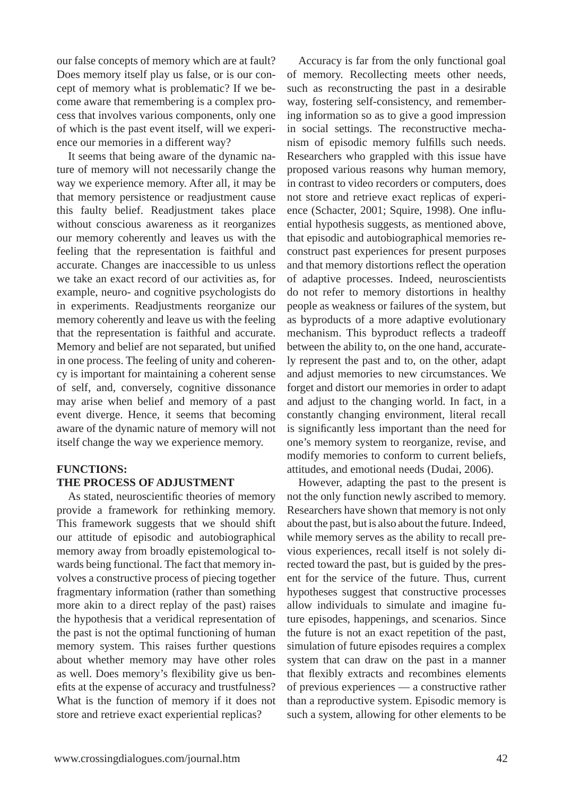our false concepts of memory which are at fault? Does memory itself play us false, or is our concept of memory what is problematic? If we become aware that remembering is a complex process that involves various components, only one of which is the past event itself, will we experience our memories in a different way?

It seems that being aware of the dynamic nature of memory will not necessarily change the way we experience memory. After all, it may be that memory persistence or readjustment cause this faulty belief. Readjustment takes place without conscious awareness as it reorganizes our memory coherently and leaves us with the feeling that the representation is faithful and accurate. Changes are inaccessible to us unless we take an exact record of our activities as, for example, neuro- and cognitive psychologists do in experiments. Readjustments reorganize our memory coherently and leave us with the feeling that the representation is faithful and accurate. Memory and belief are not separated, but unified in one process. The feeling of unity and coherency is important for maintaining a coherent sense of self, and, conversely, cognitive dissonance may arise when belief and memory of a past event diverge. Hence, it seems that becoming aware of the dynamic nature of memory will not itself change the way we experience memory.

## **FUNCTIONS: THE PROCESS OF ADJUSTMENT**

As stated, neuroscientific theories of memory provide a framework for rethinking memory. This framework suggests that we should shift our attitude of episodic and autobiographical memory away from broadly epistemological towards being functional. The fact that memory involves a constructive process of piecing together fragmentary information (rather than something more akin to a direct replay of the past) raises the hypothesis that a veridical representation of the past is not the optimal functioning of human memory system. This raises further questions about whether memory may have other roles as well. Does memory's flexibility give us benefits at the expense of accuracy and trustfulness? What is the function of memory if it does not store and retrieve exact experiential replicas?

Accuracy is far from the only functional goal of memory. Recollecting meets other needs, such as reconstructing the past in a desirable way, fostering self-consistency, and remembering information so as to give a good impression in social settings. The reconstructive mechanism of episodic memory fulfills such needs. Researchers who grappled with this issue have proposed various reasons why human memory, in contrast to video recorders or computers, does not store and retrieve exact replicas of experience (Schacter, 2001; Squire, 1998). One influential hypothesis suggests, as mentioned above, that episodic and autobiographical memories reconstruct past experiences for present purposes and that memory distortions reflect the operation of adaptive processes. Indeed, neuroscientists do not refer to memory distortions in healthy people as weakness or failures of the system, but as byproducts of a more adaptive evolutionary mechanism. This byproduct reflects a tradeoff between the ability to, on the one hand, accurately represent the past and to, on the other, adapt and adjust memories to new circumstances. We forget and distort our memories in order to adapt and adjust to the changing world. In fact, in a constantly changing environment, literal recall is significantly less important than the need for one's memory system to reorganize, revise, and modify memories to conform to current beliefs, attitudes, and emotional needs (Dudai, 2006).

However, adapting the past to the present is not the only function newly ascribed to memory. Researchers have shown that memory is not only about the past, but is also about the future. Indeed, while memory serves as the ability to recall previous experiences, recall itself is not solely directed toward the past, but is guided by the present for the service of the future. Thus, current hypotheses suggest that constructive processes allow individuals to simulate and imagine future episodes, happenings, and scenarios. Since the future is not an exact repetition of the past, simulation of future episodes requires a complex system that can draw on the past in a manner that flexibly extracts and recombines elements of previous experiences — a constructive rather than a reproductive system. Episodic memory is such a system, allowing for other elements to be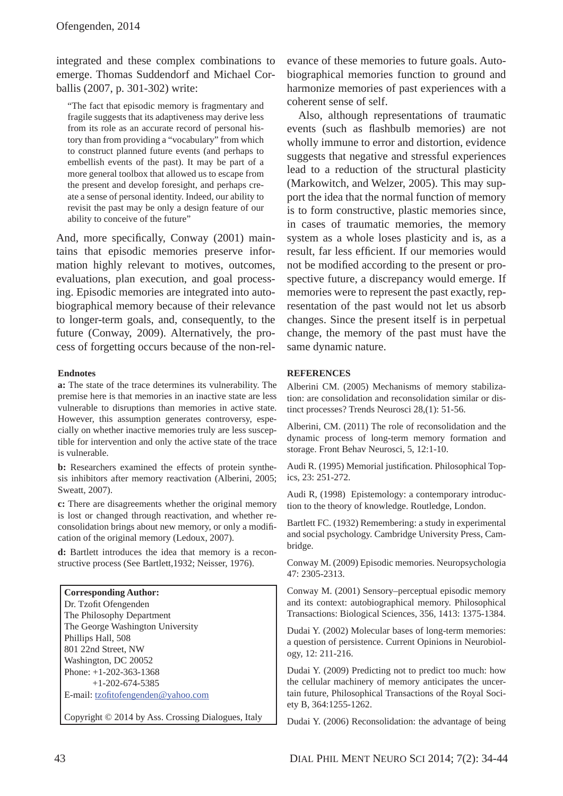integrated and these complex combinations to emerge. Thomas Suddendorf and Michael Corballis (2007, p. 301-302) write:

"The fact that episodic memory is fragmentary and fragile suggests that its adaptiveness may derive less from its role as an accurate record of personal history than from providing a "vocabulary" from which to construct planned future events (and perhaps to embellish events of the past). It may be part of a more general toolbox that allowed us to escape from the present and develop foresight, and perhaps create a sense of personal identity. Indeed, our ability to revisit the past may be only a design feature of our ability to conceive of the future"

And, more specifically, Conway (2001) maintains that episodic memories preserve information highly relevant to motives, outcomes, evaluations, plan execution, and goal processing. Episodic memories are integrated into autobiographical memory because of their relevance to longer-term goals, and, consequently, to the future (Conway, 2009). Alternatively, the process of forgetting occurs because of the non-rel-

#### **Endnotes**

**a:** The state of the trace determines its vulnerability. The premise here is that memories in an inactive state are less vulnerable to disruptions than memories in active state. However, this assumption generates controversy, especially on whether inactive memories truly are less susceptible for intervention and only the active state of the trace is vulnerable.

**b:** Researchers examined the effects of protein synthesis inhibitors after memory reactivation (Alberini, 2005; Sweatt, 2007).

**c:** There are disagreements whether the original memory is lost or changed through reactivation, and whether reconsolidation brings about new memory, or only a modification of the original memory (Ledoux, 2007).

**d:** Bartlett introduces the idea that memory is a reconstructive process (See Bartlett,1932; Neisser, 1976).

#### **Corresponding Author:** Dr. Tzofit Ofengenden

The Philosophy Department The George Washington University Phillips Hall, 508 801 22nd Street, NW Washington, DC 20052 Phone: +1-202-363-1368 +1-202-674-5385 E-mail: tzofitofengenden@yahoo.com

Copyright © 2014 by Ass. Crossing Dialogues, Italy

evance of these memories to future goals. Autobiographical memories function to ground and harmonize memories of past experiences with a coherent sense of self.

Also, although representations of traumatic events (such as flashbulb memories) are not wholly immune to error and distortion, evidence suggests that negative and stressful experiences lead to a reduction of the structural plasticity (Markowitch, and Welzer, 2005). This may support the idea that the normal function of memory is to form constructive, plastic memories since, in cases of traumatic memories, the memory system as a whole loses plasticity and is, as a result, far less efficient. If our memories would not be modified according to the present or prospective future, a discrepancy would emerge. If memories were to represent the past exactly, representation of the past would not let us absorb changes. Since the present itself is in perpetual change, the memory of the past must have the same dynamic nature.

#### **REFERENCES**

Alberini CM. (2005) Mechanisms of memory stabilization: are consolidation and reconsolidation similar or distinct processes? Trends Neurosci 28,(1): 51-56.

Alberini, CM. (2011) The role of reconsolidation and the dynamic process of long-term memory formation and storage. Front Behav Neurosci, 5, 12:1-10.

Audi R. (1995) Memorial justification. Philosophical Topics, 23: 251-272.

Audi R, (1998) Epistemology: a contemporary introduction to the theory of knowledge. Routledge, London.

Bartlett FC. (1932) Remembering: a study in experimental and social psychology. Cambridge University Press, Cambridge.

Conway M. (2009) Episodic memories. Neuropsychologia 47: 2305-2313.

Conway M. (2001) Sensory–perceptual episodic memory and its context: autobiographical memory. Philosophical Transactions: Biological Sciences, 356, 1413: 1375-1384.

Dudai Y. (2002) Molecular bases of long-term memories: a question of persistence. Current Opinions in Neurobiology, 12: 211-216.

Dudai Y. (2009) Predicting not to predict too much: how the cellular machinery of memory anticipates the uncertain future, Philosophical Transactions of the Royal Society B, 364:1255-1262.

Dudai Y. (2006) Reconsolidation: the advantage of being